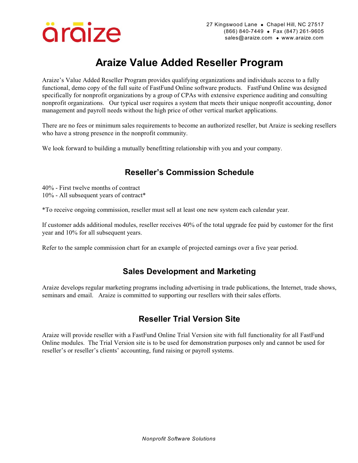

# **Araize Value Added Reseller Program**

Araize's Value Added Reseller Program provides qualifying organizations and individuals access to a fully functional, demo copy of the full suite of FastFund Online software products. FastFund Online was designed specifically for nonprofit organizations by a group of CPAs with extensive experience auditing and consulting nonprofit organizations. Our typical user requires a system that meets their unique nonprofit accounting, donor management and payroll needs without the high price of other vertical market applications.

There are no fees or minimum sales requirements to become an authorized reseller, but Araize is seeking resellers who have a strong presence in the nonprofit community.

We look forward to building a mutually benefitting relationship with you and your company.

# **Reseller's Commission Schedule**

40% - First twelve months of contract 10% - All subsequent years of contract\*

\*To receive ongoing commission, reseller must sell at least one new system each calendar year.

If customer adds additional modules, reseller receives 40% of the total upgrade fee paid by customer for the first year and 10% for all subsequent years.

Refer to the sample commission chart for an example of projected earnings over a five year period.

## **Sales Development and Marketing**

Araize develops regular marketing programs including advertising in trade publications, the Internet, trade shows, seminars and email. Araize is committed to supporting our resellers with their sales efforts.

# **Reseller Trial Version Site**

Araize will provide reseller with a FastFund Online Trial Version site with full functionality for all FastFund Online modules. The Trial Version site is to be used for demonstration purposes only and cannot be used for reseller's or reseller's clients' accounting, fund raising or payroll systems.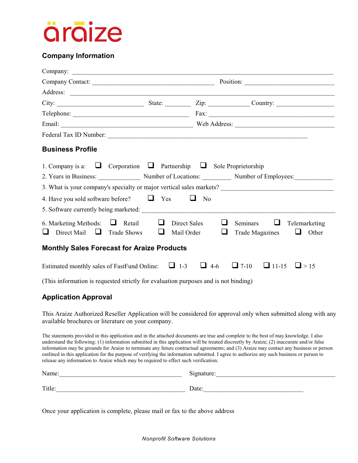

#### **Company Information**

| <b>Business Profile</b>                                                                  |  |                                      |                                                                          |  |  |  |
|------------------------------------------------------------------------------------------|--|--------------------------------------|--------------------------------------------------------------------------|--|--|--|
| 1. Company is a: $\Box$ Corporation $\Box$ Partnership $\Box$ Sole Proprietorship        |  |                                      |                                                                          |  |  |  |
| 2. Years in Business: Number of Locations: Number of Employees:                          |  |                                      |                                                                          |  |  |  |
|                                                                                          |  |                                      |                                                                          |  |  |  |
| 4. Have you sold software before? $\Box$ Yes $\Box$ No                                   |  |                                      |                                                                          |  |  |  |
|                                                                                          |  |                                      |                                                                          |  |  |  |
| 6. Marketing Methods: $\Box$ Retail $\Box$<br>Direct Mail $\Box$ Trade Shows $\Box$<br>ப |  | ⊔<br>Direct Sales<br>Mail Order<br>⊔ | <b>Seminars</b><br>⊔<br>Telemarketing<br>Trade Magazines $\Box$<br>Other |  |  |  |
| <b>Monthly Sales Forecast for Araize Products</b>                                        |  |                                      |                                                                          |  |  |  |
| Estimated monthly sales of FastFund Online: $\Box$ 1-3                                   |  | $\Box$ 4-6                           | $\Box$ 7-10<br>$\Box$ 11-15<br>$\Box$ > 15                               |  |  |  |

(This information is requested strictly for evaluation purposes and is not binding)

#### **Application Approval**

This Araize Authorized Reseller Application will be considered for approval only when submitted along with any available brochures or literature on your company.

The statements provided in this application and in the attached documents are true and complete to the best of may knowledge. I also understand the following: (1) information submitted in this application will be treated discreetly by Araize; (2) inaccurate and/or false information may be grounds for Araize to terminate any future contractual agreements; and (3) Araize may contact any business or person outlined in this application for the purpose of verifying the information submitted. I agree to authorize any such business or person to release any information to Araize which may be required to effect such verification.

| Name:  | Signature: |
|--------|------------|
| Title: | Date:      |

Once your application is complete, please mail or fax to the above address